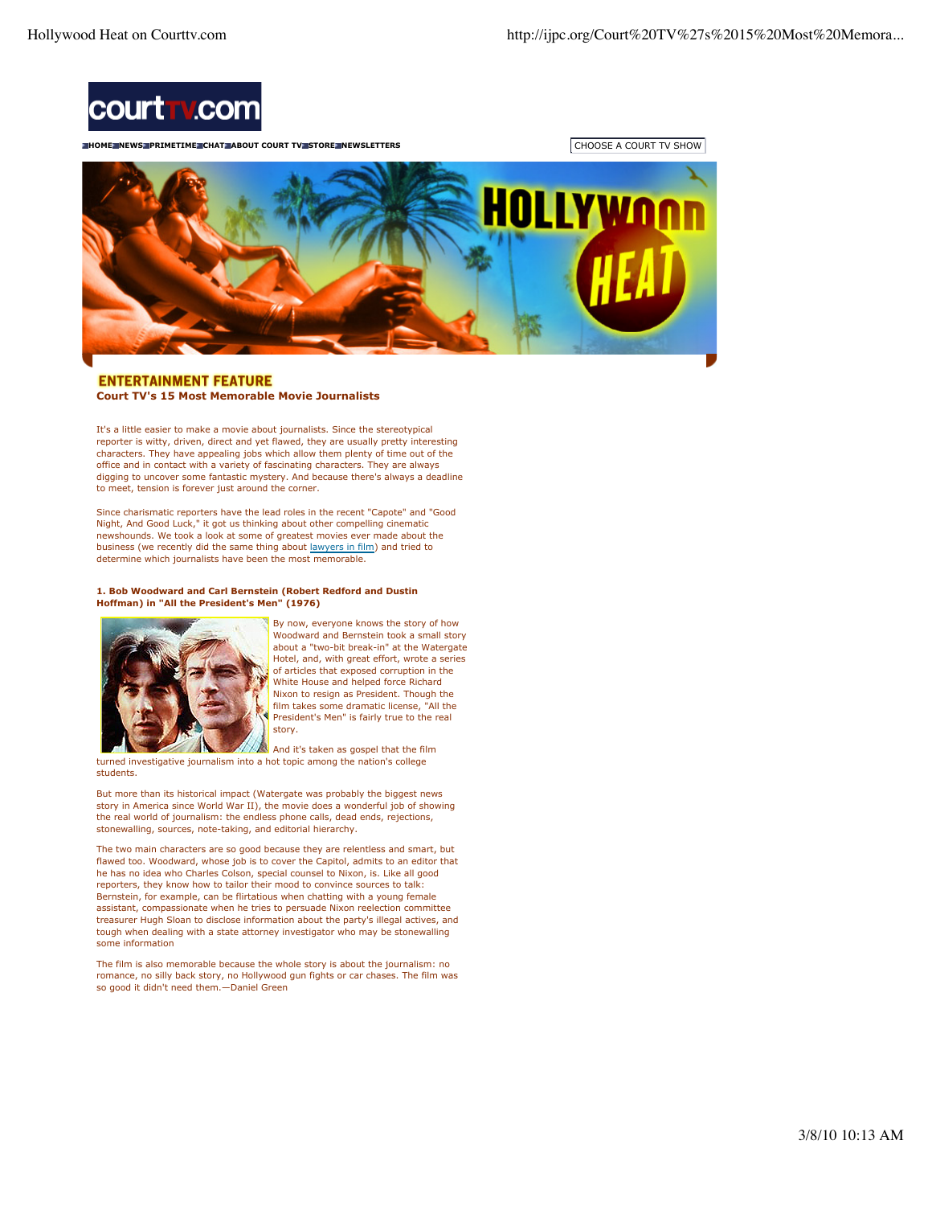

**HOME INEWS PRIMETIME CHAT ABOUT COURT TV STORE INEWSLETTERS CHOOSE A COURT TV SHOW** 



# **ENTERTAINMENT FEATURE Court TV's 15 Most Memorable Movie Journalists**

It's a little easier to make a movie about journalists. Since the stereotypical reporter is witty, driven, direct and yet flawed, they are usually pretty interesting characters. They have appealing jobs which allow them plenty of time out of the office and in contact with a variety of fascinating characters. They are always digging to uncover some fantastic mystery. And because there's always a deadline to meet, tension is forever just around the corner.

Since charismatic reporters have the lead roles in the recent "Capote" and "Good Night, And Good Luck," it got us thinking about other compelling cinematic newshounds. We took a look at some of greatest movies ever made about the business (we recently did the same thing about lawyers in film) and tried to determine which journalists have been the most memorable.

#### **1. Bob Woodward and Carl Bernstein (Robert Redford and Dustin Hoffman) in "All the President's Men" (1976)**



students.

By now, everyone knows the story of how Woodward and Bernstein took a small story about a "two-bit break-in" at the Watergate Hotel, and, with great effort, wrote a series of articles that exposed corruption in the White House and helped force Richard Nixon to resign as President. Though the film takes some dramatic license, "All the President's Men" is fairly true to the real story.

And it's taken as gospel that the film turned investigative journalism into a hot topic among the nation's college

But more than its historical impact (Watergate was probably the biggest news story in America since World War II), the movie does a wonderful job of showing the real world of journalism: the endless phone calls, dead ends, rejections, stonewalling, sources, note-taking, and editorial hierarchy.

The two main characters are so good because they are relentless and smart, but flawed too. Woodward, whose job is to cover the Capitol, admits to an editor that he has no idea who Charles Colson, special counsel to Nixon, is. Like all good reporters, they know how to tailor their mood to convince sources to talk: Bernstein, for example, can be flirtatious when chatting with a young female assistant, compassionate when he tries to persuade Nixon reelection committee treasurer Hugh Sloan to disclose information about the party's illegal actives, and tough when dealing with a state attorney investigator who may be stonewalling some information

The film is also memorable because the whole story is about the journalism: no romance, no silly back story, no Hollywood gun fights or car chases. The film was so good it didn't need them.—Daniel Green